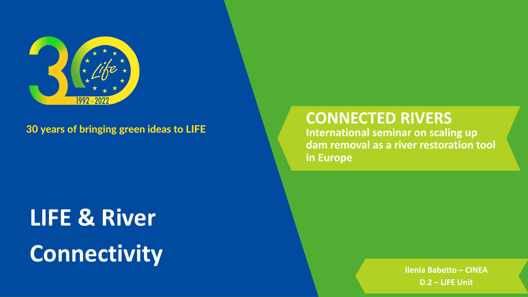# **LIFE & River Connectivity**

**Ilenia Babetto – CINEA D.2 – LIFE Unit**

## **CONNECTED RIVERS International seminar on scaling up dam removal as a river restoration tool**

**in Europe**



30 years of bringing green ideas to LIFE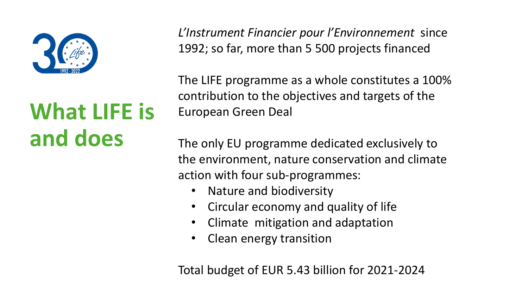

# **What LIFE is and does**

*L'Instrument Financier pour l'Environnement* since 1992; so far, more than 5 500 projects financed

The LIFE programme as a whole constitutes a 100% contribution to the objectives and targets of the European Green Deal

The only EU programme dedicated exclusively to the environment, nature conservation and climate action with four sub-programmes:

- Nature and biodiversity
- Circular economy and quality of life
- Climate mitigation and adaptation
- Clean energy transition

Total budget of EUR 5.43 billion for 2021-2024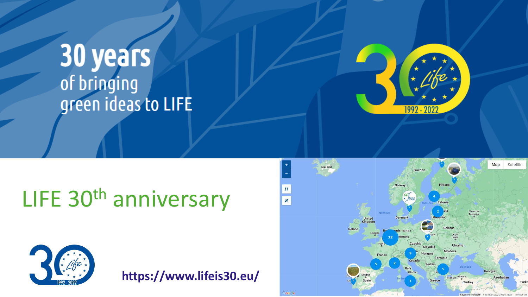# **30 years**<br>of bringing green ideas to LIFE

# LIFE 30th anniversary



**https://www.lifeis30.eu/**

Google

 $\frac{M}{\pi}\frac{M}{K}$ 

4f

Iceland



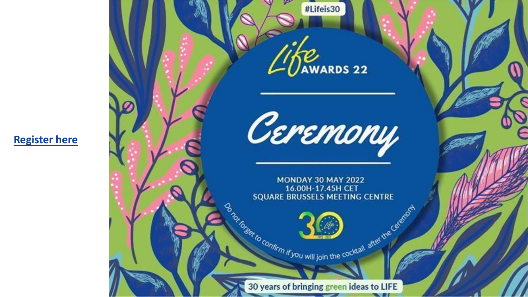#### **[Register here](https://eugreenweek2022.tw.events/en/registration-form)**

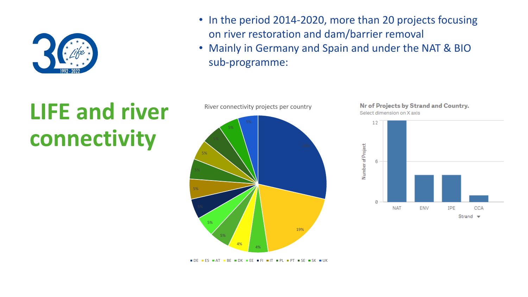# **LIFE and river connectivity**



## • In the period 2014-2020, more than 20 projects focusing • Mainly in Germany and Spain and under the NAT & BIO



- on river restoration and dam/barrier removal
- sub-programme:



River connectivity projects per country

DE ES AT BE DK EE FI IT PL PT SE SK UK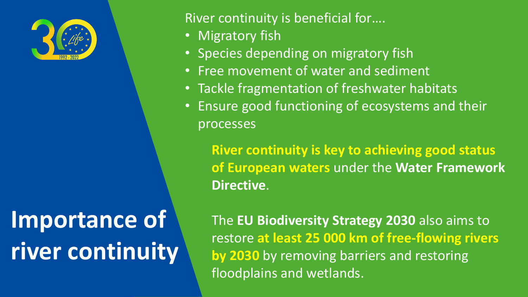

#### River continuity is beneficial for….

- Migratory fish
- Species depending on migratory fish
- Free movement of water and sediment
- Tackle fragmentation of freshwater habitats
- processes

• Ensure good functioning of ecosystems and their

# **Importance of river continuity**

**River continuity is key to achieving good status of European waters** under the **Water Framework Directive**.

The **EU Biodiversity Strategy 2030** also aims to restore **at least 25 000 km of free-flowing rivers by 2030** by removing barriers and restoring floodplains and wetlands.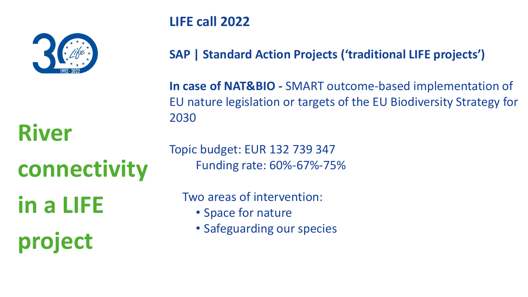#### **LIFE call 2022**

**SAP | Standard Action Projects ('traditional LIFE projects')**

**In case of NAT&BIO -** SMART outcome-based implementation of EU nature legislation or targets of the EU Biodiversity Strategy for 2030

Topic budget: EUR 132 739 347 Funding rate: 60%-67%-75%

Two areas of intervention:

- Space for nature
- Safeguarding our species

**River** 



**connectivity** 

**in a LIFE** 

**project**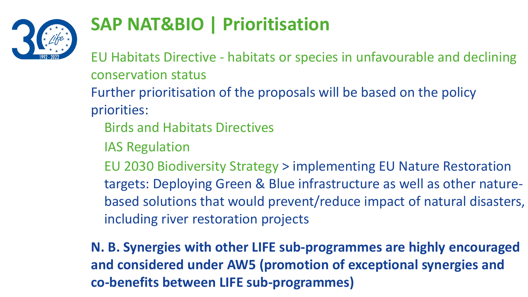

## **SAP NAT&BIO | Prioritisation**

Further prioritisation of the proposals will be based on the policy EU Habitats Directive - habitats or species in unfavourable and declining conservation status priorities: Birds and Habitats Directives IAS Regulation EU 2030 Biodiversity Strategy > implementing EU Nature Restoration targets: Deploying Green & Blue infrastructure as well as other naturebased solutions that would prevent/reduce impact of natural disasters, including river restoration projects

**N. B. Synergies with other LIFE sub-programmes are highly encouraged and considered under AW5 (promotion of exceptional synergies and co-benefits between LIFE sub-programmes)**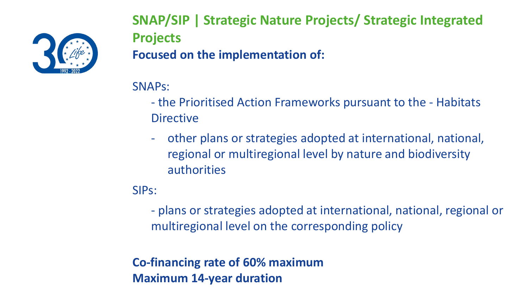

**SNAP/SIP | Strategic Nature Projects/ Strategic Integrated Projects**

**Focused on the implementation of:**

SNAPs:

- the Prioritised Action Frameworks pursuant to the Habitats **Directive**
- other plans or strategies adopted at international, national, regional or multiregional level by nature and biodiversity authorities

SIPs:

- plans or strategies adopted at international, national, regional or multiregional level on the corresponding policy

**Co-financing rate of 60% maximum Maximum 14-year duration**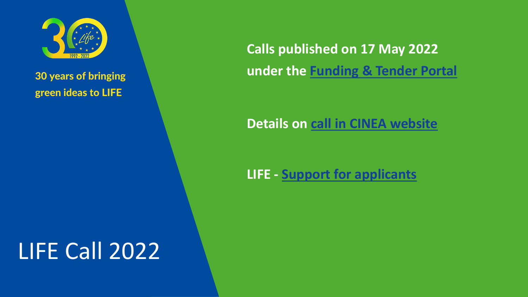# LIFE Call 2022



#### 30 years of bringing green ideas to LIFE

## **Calls published on 17 May 2022 under the [Funding & Tender Portal](https://ec.europa.eu/info/funding-tenders/opportunities/portal/screen/opportunities/topic-search;callCode=null;freeTextSearchKeyword=;matchWholeText=true;typeCodes=1,0;statusCodes=31094501,31094502;programmePeriod=2021%20-%202027;programCcm2Id=43252405;programDivisionCode=null;focusAreaCode=null;destination=null;mission=null;geographicalZonesCode=null;programmeDivisionProspect=null;startDateLte=null;startDateGte=null;crossCuttingPriorityCode=null;cpvCode=null;performanceOfDelivery=null;sortQuery=sortStatus;orderBy=asc;onlyTenders=false;topicListKey=topicSearchTablePageState)**

#### **Details on [call in CINEA website](https://cinea.ec.europa.eu/programmes/life/life-calls-proposals_en)**

### **LIFE - [Support for applicants](https://cinea.ec.europa.eu/programmes/life/life-support-applicants_en)**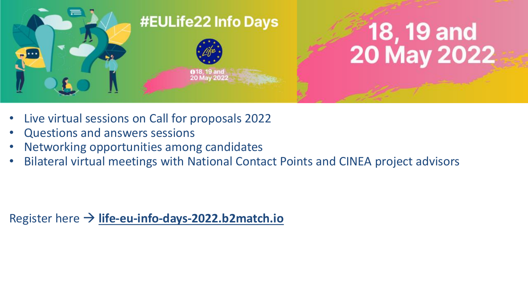

- Live virtual sessions on Call for proposals 2022
- Questions and answers sessions
- Networking opportunities among candidates
- Bilateral virtual meetings with National Contact Points and CINEA project advisors

Register here → **life-eu-info-days-2022.b2match.io**

# 18, 19 and<br>20 May 2022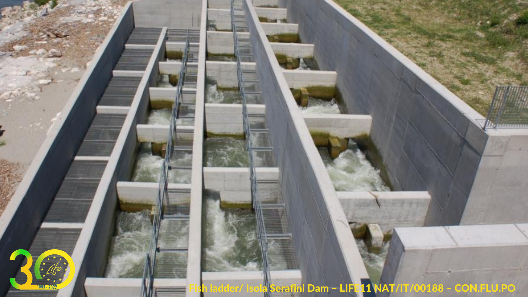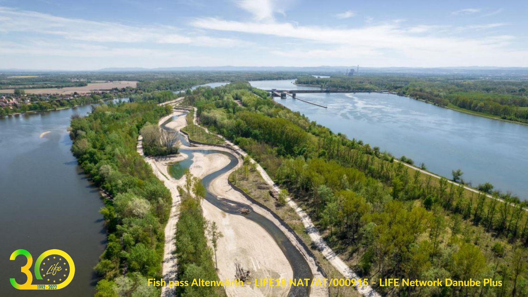